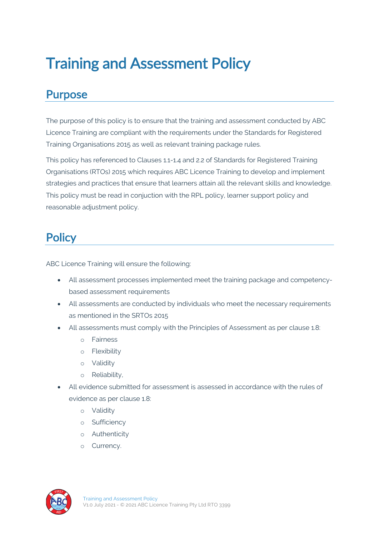# Training and Assessment Policy

## Purpose

The purpose of this policy is to ensure that the training and assessment conducted by ABC Licence Training are compliant with the requirements under the Standards for Registered Training Organisations 2015 as well as relevant training package rules.

This policy has referenced to Clauses 1.1-1.4 and 2.2 of Standards for Registered Training Organisations (RTOs) 2015 which requires ABC Licence Training to develop and implement strategies and practices that ensure that learners attain all the relevant skills and knowledge. This policy must be read in conjuction with the RPL policy, learner support policy and reasonable adjustment policy.

# **Policy**

ABC Licence Training will ensure the following:

- All assessment processes implemented meet the training package and competencybased assessment requirements
- All assessments are conducted by individuals who meet the necessary requirements as mentioned in the SRTOs 2015
- All assessments must comply with the Principles of Assessment as per clause 1.8:
	- o Fairness
	- o Flexibility
	- o Validity
	- o Reliability,
- All evidence submitted for assessment is assessed in accordance with the rules of evidence as per clause 1.8:
	- o Validity
	- o Sufficiency
	- o Authenticity
	- o Currency.

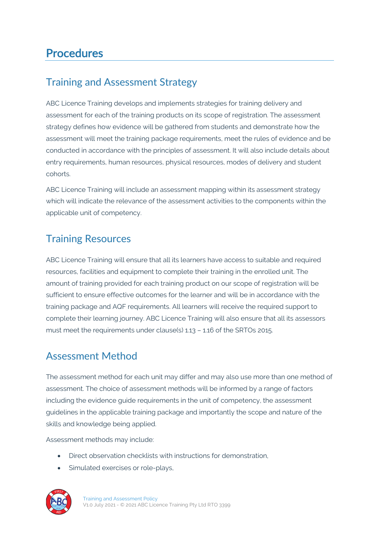# **Procedures**

#### Training and Assessment Strategy

ABC Licence Training develops and implements strategies for training delivery and assessment for each of the training products on its scope of registration. The assessment strategy defines how evidence will be gathered from students and demonstrate how the assessment will meet the training package requirements, meet the rules of evidence and be conducted in accordance with the principles of assessment. It will also include details about entry requirements, human resources, physical resources, modes of delivery and student cohorts.

ABC Licence Training will include an assessment mapping within its assessment strategy which will indicate the relevance of the assessment activities to the components within the applicable unit of competency.

#### Training Resources

ABC Licence Training will ensure that all its learners have access to suitable and required resources, facilities and equipment to complete their training in the enrolled unit. The amount of training provided for each training product on our scope of registration will be sufficient to ensure effective outcomes for the learner and will be in accordance with the training package and AQF requirements. All learners will receive the required support to complete their learning journey. ABC Licence Training will also ensure that all its assessors must meet the requirements under clause(s) 1.13 – 1.16 of the SRTOs 2015.

### Assessment Method

The assessment method for each unit may differ and may also use more than one method of assessment. The choice of assessment methods will be informed by a range of factors including the evidence guide requirements in the unit of competency, the assessment guidelines in the applicable training package and importantly the scope and nature of the skills and knowledge being applied.

Assessment methods may include:

- Direct observation checklists with instructions for demonstration,
- Simulated exercises or role-plays,

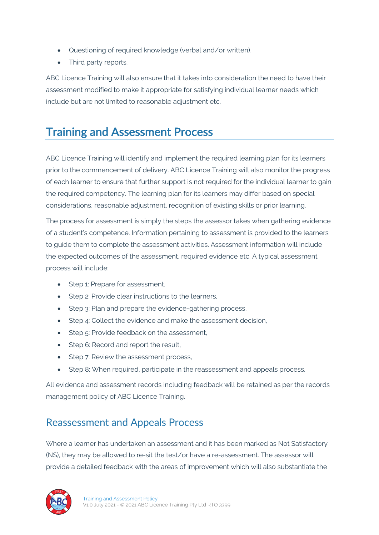- Questioning of required knowledge (verbal and/or written),
- Third party reports.

ABC Licence Training will also ensure that it takes into consideration the need to have their assessment modified to make it appropriate for satisfying individual learner needs which include but are not limited to reasonable adjustment etc.

## Training and Assessment Process

ABC Licence Training will identify and implement the required learning plan for its learners prior to the commencement of delivery. ABC Licence Training will also monitor the progress of each learner to ensure that further support is not required for the individual learner to gain the required competency. The learning plan for its learners may differ based on special considerations, reasonable adjustment, recognition of existing skills or prior learning.

The process for assessment is simply the steps the assessor takes when gathering evidence of a student's competence. Information pertaining to assessment is provided to the learners to guide them to complete the assessment activities. Assessment information will include the expected outcomes of the assessment, required evidence etc. A typical assessment process will include:

- Step 1: Prepare for assessment.
- Step 2: Provide clear instructions to the learners,
- Step 3: Plan and prepare the evidence-gathering process,
- Step 4: Collect the evidence and make the assessment decision,
- Step 5: Provide feedback on the assessment,
- Step 6: Record and report the result,
- Step 7: Review the assessment process,
- Step 8: When required, participate in the reassessment and appeals process.

All evidence and assessment records including feedback will be retained as per the records management policy of ABC Licence Training.

#### Reassessment and Appeals Process

Where a learner has undertaken an assessment and it has been marked as Not Satisfactory (NS), they may be allowed to re-sit the test/or have a re-assessment. The assessor will provide a detailed feedback with the areas of improvement which will also substantiate the